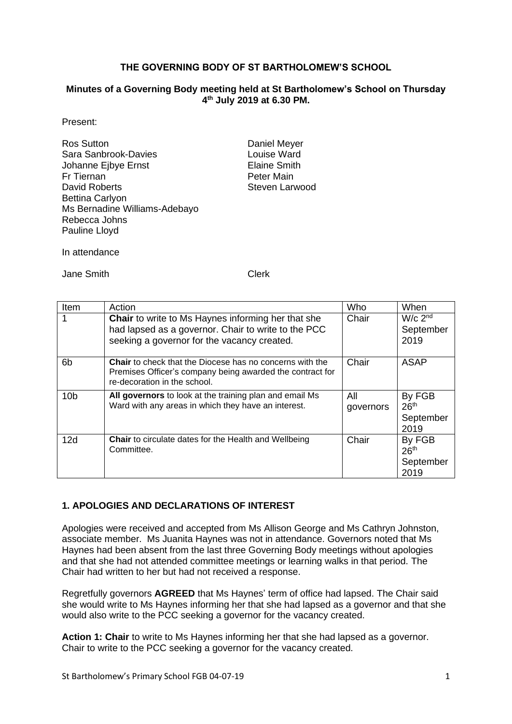#### **THE GOVERNING BODY OF ST BARTHOLOMEW'S SCHOOL**

#### **Minutes of a Governing Body meeting held at St Bartholomew's School on Thursday 4 th July 2019 at 6.30 PM.**

Present:

| <b>Ros Sutton</b>             |
|-------------------------------|
| Sara Sanbrook-Davies          |
| Johanne Ejbye Ernst           |
| Fr Tiernan                    |
| David Roberts                 |
| <b>Bettina Carlyon</b>        |
| Ms Bernadine Williams-Adebayo |
| Rebecca Johns                 |
| Pauline Lloyd                 |

Daniel Meyer Louise Ward **Elaine Smith** Peter Main Steven Larwood

In attendance

Jane Smith Clerk

| Item            | Action                                                                                                                                                          | Who              | When                                            |
|-----------------|-----------------------------------------------------------------------------------------------------------------------------------------------------------------|------------------|-------------------------------------------------|
|                 | <b>Chair</b> to write to Ms Haynes informing her that she<br>had lapsed as a governor. Chair to write to the PCC<br>seeking a governor for the vacancy created. | Chair            | $W/c$ 2 <sup>nd</sup><br>September<br>2019      |
| 6b              | <b>Chair</b> to check that the Diocese has no concerns with the<br>Premises Officer's company being awarded the contract for<br>re-decoration in the school.    | Chair            | ASAP                                            |
| 10 <sub>b</sub> | All governors to look at the training plan and email Ms<br>Ward with any areas in which they have an interest.                                                  | All<br>governors | By FGB<br>26 <sup>th</sup><br>September<br>2019 |
| 12d             | <b>Chair</b> to circulate dates for the Health and Wellbeing<br>Committee.                                                                                      | Chair            | By FGB<br>26 <sup>th</sup><br>September<br>2019 |

#### **1. APOLOGIES AND DECLARATIONS OF INTEREST**

Apologies were received and accepted from Ms Allison George and Ms Cathryn Johnston, associate member. Ms Juanita Haynes was not in attendance. Governors noted that Ms Haynes had been absent from the last three Governing Body meetings without apologies and that she had not attended committee meetings or learning walks in that period. The Chair had written to her but had not received a response.

Regretfully governors **AGREED** that Ms Haynes' term of office had lapsed. The Chair said she would write to Ms Haynes informing her that she had lapsed as a governor and that she would also write to the PCC seeking a governor for the vacancy created.

**Action 1: Chair** to write to Ms Haynes informing her that she had lapsed as a governor. Chair to write to the PCC seeking a governor for the vacancy created.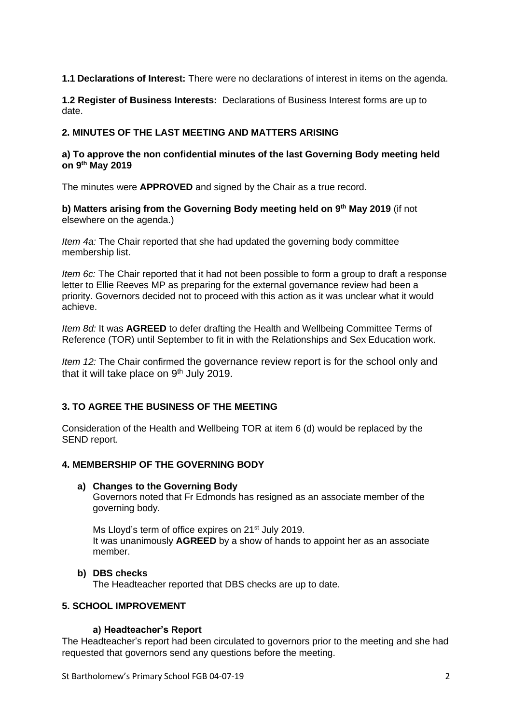**1.1 Declarations of Interest:** There were no declarations of interest in items on the agenda.

**1.2 Register of Business Interests:** Declarations of Business Interest forms are up to date.

### **2. MINUTES OF THE LAST MEETING AND MATTERS ARISING**

#### **a) To approve the non confidential minutes of the last Governing Body meeting held on 9 th May 2019**

The minutes were **APPROVED** and signed by the Chair as a true record.

**b) Matters arising from the Governing Body meeting held on 9 th May 2019** (if not elsewhere on the agenda.)

*Item 4a:* The Chair reported that she had updated the governing body committee membership list.

*Item 6c:* The Chair reported that it had not been possible to form a group to draft a response letter to Ellie Reeves MP as preparing for the external governance review had been a priority. Governors decided not to proceed with this action as it was unclear what it would achieve.

*Item 8d:* It was **AGREED** to defer drafting the Health and Wellbeing Committee Terms of Reference (TOR) until September to fit in with the Relationships and Sex Education work.

*Item 12:* The Chair confirmed the governance review report is for the school only and that it will take place on 9<sup>th</sup> July 2019.

# **3. TO AGREE THE BUSINESS OF THE MEETING**

Consideration of the Health and Wellbeing TOR at item 6 (d) would be replaced by the SEND report.

#### **4. MEMBERSHIP OF THE GOVERNING BODY**

#### **a) Changes to the Governing Body**

Governors noted that Fr Edmonds has resigned as an associate member of the governing body.

Ms Lloyd's term of office expires on 21<sup>st</sup> July 2019. It was unanimously **AGREED** by a show of hands to appoint her as an associate member.

#### **b) DBS checks**

The Headteacher reported that DBS checks are up to date.

#### **5. SCHOOL IMPROVEMENT**

#### **a) Headteacher's Report**

The Headteacher's report had been circulated to governors prior to the meeting and she had requested that governors send any questions before the meeting.

St Bartholomew's Primary School FGB 04-07-19 2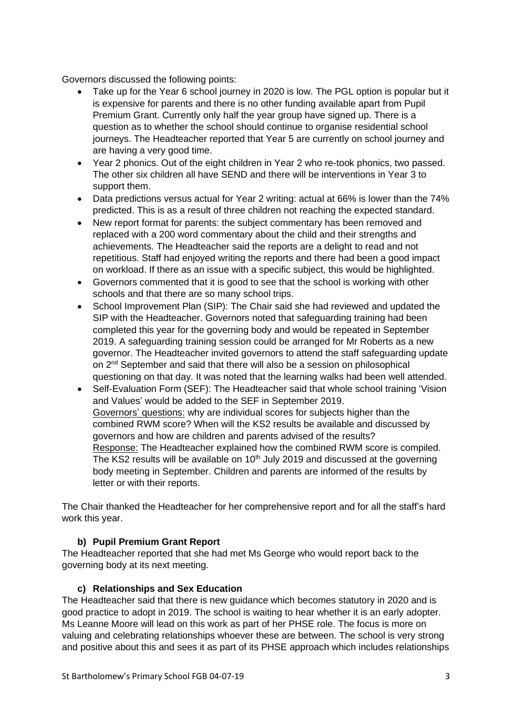Governors discussed the following points:

- Take up for the Year 6 school journey in 2020 is low. The PGL option is popular but it is expensive for parents and there is no other funding available apart from Pupil Premium Grant. Currently only half the year group have signed up. There is a question as to whether the school should continue to organise residential school journeys. The Headteacher reported that Year 5 are currently on school journey and are having a very good time.
- Year 2 phonics. Out of the eight children in Year 2 who re-took phonics, two passed. The other six children all have SEND and there will be interventions in Year 3 to support them.
- Data predictions versus actual for Year 2 writing: actual at 66% is lower than the 74% predicted. This is as a result of three children not reaching the expected standard.
- New report format for parents: the subject commentary has been removed and replaced with a 200 word commentary about the child and their strengths and achievements. The Headteacher said the reports are a delight to read and not repetitious. Staff had enjoyed writing the reports and there had been a good impact on workload. If there as an issue with a specific subject, this would be highlighted.
- Governors commented that it is good to see that the school is working with other schools and that there are so many school trips.
- School Improvement Plan (SIP): The Chair said she had reviewed and updated the SIP with the Headteacher. Governors noted that safeguarding training had been completed this year for the governing body and would be repeated in September 2019. A safeguarding training session could be arranged for Mr Roberts as a new governor. The Headteacher invited governors to attend the staff safeguarding update on 2<sup>nd</sup> September and said that there will also be a session on philosophical questioning on that day. It was noted that the learning walks had been well attended.
- Self-Evaluation Form (SEF): The Headteacher said that whole school training 'Vision and Values' would be added to the SEF in September 2019. Governors' questions: why are individual scores for subjects higher than the combined RWM score? When will the KS2 results be available and discussed by governors and how are children and parents advised of the results? Response: The Headteacher explained how the combined RWM score is compiled. The KS2 results will be available on 10<sup>th</sup> July 2019 and discussed at the governing body meeting in September. Children and parents are informed of the results by letter or with their reports.

The Chair thanked the Headteacher for her comprehensive report and for all the staff's hard work this year.

# **b) Pupil Premium Grant Report**

The Headteacher reported that she had met Ms George who would report back to the governing body at its next meeting.

#### **c) Relationships and Sex Education**

The Headteacher said that there is new guidance which becomes statutory in 2020 and is good practice to adopt in 2019. The school is waiting to hear whether it is an early adopter. Ms Leanne Moore will lead on this work as part of her PHSE role. The focus is more on valuing and celebrating relationships whoever these are between. The school is very strong and positive about this and sees it as part of its PHSE approach which includes relationships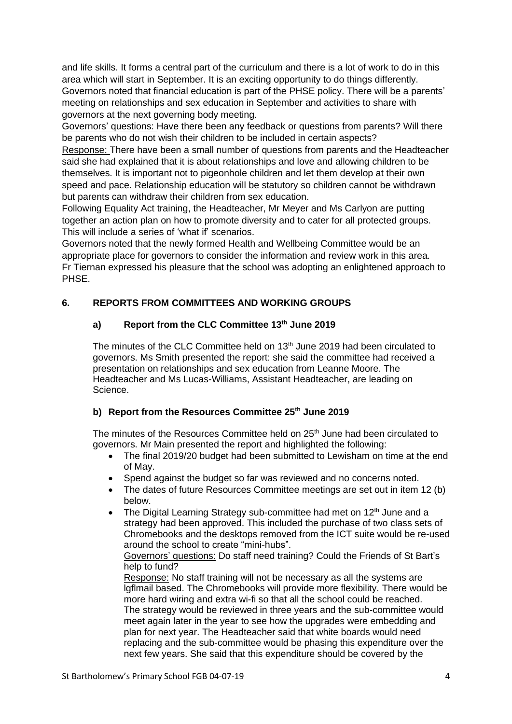and life skills. It forms a central part of the curriculum and there is a lot of work to do in this area which will start in September. It is an exciting opportunity to do things differently. Governors noted that financial education is part of the PHSE policy. There will be a parents' meeting on relationships and sex education in September and activities to share with governors at the next governing body meeting.

Governors' questions: Have there been any feedback or questions from parents? Will there be parents who do not wish their children to be included in certain aspects?

Response: There have been a small number of questions from parents and the Headteacher said she had explained that it is about relationships and love and allowing children to be themselves. It is important not to pigeonhole children and let them develop at their own speed and pace. Relationship education will be statutory so children cannot be withdrawn but parents can withdraw their children from sex education.

Following Equality Act training, the Headteacher, Mr Meyer and Ms Carlyon are putting together an action plan on how to promote diversity and to cater for all protected groups. This will include a series of 'what if' scenarios.

Governors noted that the newly formed Health and Wellbeing Committee would be an appropriate place for governors to consider the information and review work in this area. Fr Tiernan expressed his pleasure that the school was adopting an enlightened approach to PHSE.

# **6. REPORTS FROM COMMITTEES AND WORKING GROUPS**

# **a) Report from the CLC Committee 13th June 2019**

The minutes of the CLC Committee held on 13<sup>th</sup> June 2019 had been circulated to governors. Ms Smith presented the report: she said the committee had received a presentation on relationships and sex education from Leanne Moore. The Headteacher and Ms Lucas-Williams, Assistant Headteacher, are leading on Science.

# **b) Report from the Resources Committee 25th June 2019**

The minutes of the Resources Committee held on  $25<sup>th</sup>$  June had been circulated to governors. Mr Main presented the report and highlighted the following:

- The final 2019/20 budget had been submitted to Lewisham on time at the end of May.
- Spend against the budget so far was reviewed and no concerns noted.
- The dates of future Resources Committee meetings are set out in item 12 (b) below.
- The Digital Learning Strategy sub-committee had met on 12<sup>th</sup> June and a strategy had been approved. This included the purchase of two class sets of Chromebooks and the desktops removed from the ICT suite would be re-used around the school to create "mini-hubs".

Governors' questions: Do staff need training? Could the Friends of St Bart's help to fund?

Response: No staff training will not be necessary as all the systems are lgflmail based. The Chromebooks will provide more flexibility. There would be more hard wiring and extra wi-fi so that all the school could be reached. The strategy would be reviewed in three years and the sub-committee would meet again later in the year to see how the upgrades were embedding and plan for next year. The Headteacher said that white boards would need replacing and the sub-committee would be phasing this expenditure over the next few years. She said that this expenditure should be covered by the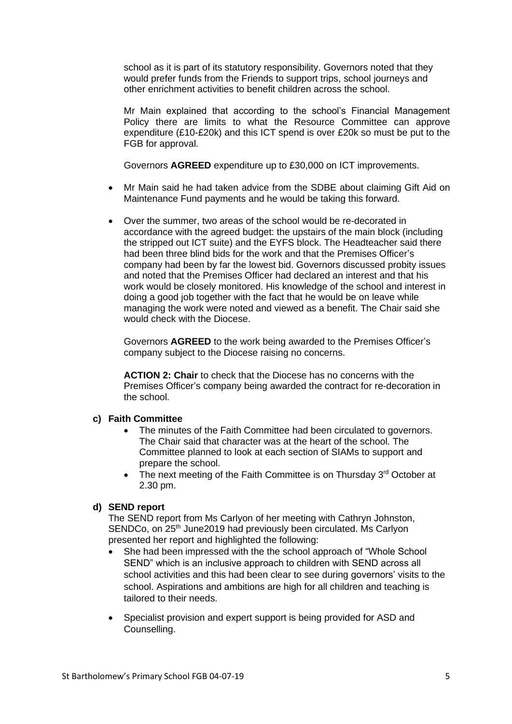school as it is part of its statutory responsibility. Governors noted that they would prefer funds from the Friends to support trips, school journeys and other enrichment activities to benefit children across the school.

Mr Main explained that according to the school's Financial Management Policy there are limits to what the Resource Committee can approve expenditure (£10-£20k) and this ICT spend is over £20k so must be put to the FGB for approval.

Governors **AGREED** expenditure up to £30,000 on ICT improvements.

- Mr Main said he had taken advice from the SDBE about claiming Gift Aid on Maintenance Fund payments and he would be taking this forward.
- Over the summer, two areas of the school would be re-decorated in accordance with the agreed budget: the upstairs of the main block (including the stripped out ICT suite) and the EYFS block. The Headteacher said there had been three blind bids for the work and that the Premises Officer's company had been by far the lowest bid. Governors discussed probity issues and noted that the Premises Officer had declared an interest and that his work would be closely monitored. His knowledge of the school and interest in doing a good job together with the fact that he would be on leave while managing the work were noted and viewed as a benefit. The Chair said she would check with the Diocese.

Governors **AGREED** to the work being awarded to the Premises Officer's company subject to the Diocese raising no concerns.

**ACTION 2: Chair** to check that the Diocese has no concerns with the Premises Officer's company being awarded the contract for re-decoration in the school.

#### **c) Faith Committee**

- The minutes of the Faith Committee had been circulated to governors. The Chair said that character was at the heart of the school. The Committee planned to look at each section of SIAMs to support and prepare the school.
- The next meeting of the Faith Committee is on Thursday  $3<sup>rd</sup>$  October at 2.30 pm.

### **d) SEND report**

The SEND report from Ms Carlyon of her meeting with Cathryn Johnston, SENDCo, on 25<sup>th</sup> June2019 had previously been circulated. Ms Carlyon presented her report and highlighted the following:

- She had been impressed with the the school approach of "Whole School SEND" which is an inclusive approach to children with SEND across all school activities and this had been clear to see during governors' visits to the school. Aspirations and ambitions are high for all children and teaching is tailored to their needs.
- Specialist provision and expert support is being provided for ASD and Counselling.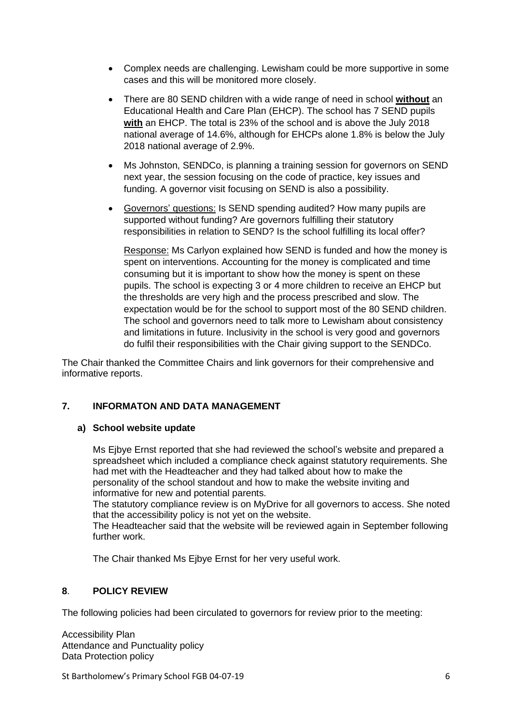- Complex needs are challenging. Lewisham could be more supportive in some cases and this will be monitored more closely.
- There are 80 SEND children with a wide range of need in school **without** an Educational Health and Care Plan (EHCP). The school has 7 SEND pupils **with** an EHCP. The total is 23% of the school and is above the July 2018 national average of 14.6%, although for EHCPs alone 1.8% is below the July 2018 national average of 2.9%.
- Ms Johnston, SENDCo, is planning a training session for governors on SEND next year, the session focusing on the code of practice, key issues and funding. A governor visit focusing on SEND is also a possibility.
- Governors' questions: Is SEND spending audited? How many pupils are supported without funding? Are governors fulfilling their statutory responsibilities in relation to SEND? Is the school fulfilling its local offer?

Response: Ms Carlyon explained how SEND is funded and how the money is spent on interventions. Accounting for the money is complicated and time consuming but it is important to show how the money is spent on these pupils. The school is expecting 3 or 4 more children to receive an EHCP but the thresholds are very high and the process prescribed and slow. The expectation would be for the school to support most of the 80 SEND children. The school and governors need to talk more to Lewisham about consistency and limitations in future. Inclusivity in the school is very good and governors do fulfil their responsibilities with the Chair giving support to the SENDCo.

The Chair thanked the Committee Chairs and link governors for their comprehensive and informative reports.

### **7. INFORMATON AND DATA MANAGEMENT**

#### **a) School website update**

Ms Ejbye Ernst reported that she had reviewed the school's website and prepared a spreadsheet which included a compliance check against statutory requirements. She had met with the Headteacher and they had talked about how to make the personality of the school standout and how to make the website inviting and informative for new and potential parents.

The statutory compliance review is on MyDrive for all governors to access. She noted that the accessibility policy is not yet on the website.

The Headteacher said that the website will be reviewed again in September following further work.

The Chair thanked Ms Ejbye Ernst for her very useful work.

#### **8**. **POLICY REVIEW**

The following policies had been circulated to governors for review prior to the meeting:

Accessibility Plan Attendance and Punctuality policy Data Protection policy

St Bartholomew's Primary School FGB 04-07-19 66 66 66 7 66 7 7 8 7 7 8 7 7 8 7 7 8 7 7 8 7 7 8 7 7 8 7 7 8 7 8 7 7 8 7 7 8 7 7 8 7 7 8 7 7 8 7 7 8 7 7 8 7 7 8 7 7 8 7 7 8 7 7 8 7 7 8 7 7 8 7 7 8 7 7 8 7 7 8 7 7 8 7 7 8 7 7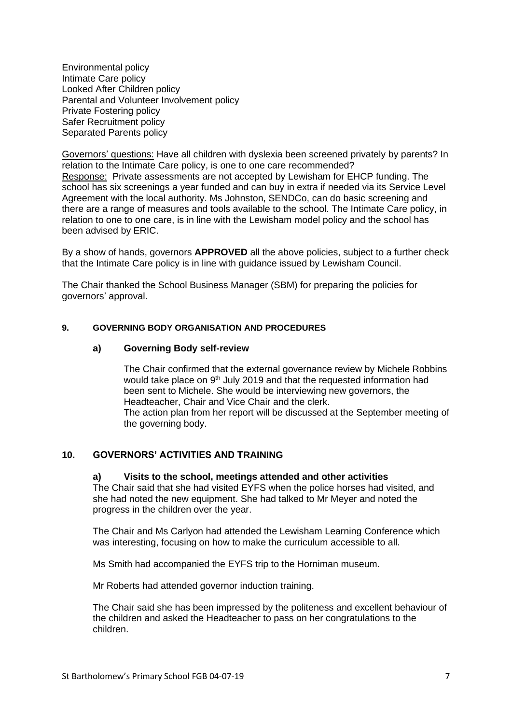Environmental policy Intimate Care policy Looked After Children policy Parental and Volunteer Involvement policy Private Fostering policy Safer Recruitment policy Separated Parents policy

Governors' questions: Have all children with dyslexia been screened privately by parents? In relation to the Intimate Care policy, is one to one care recommended? Response: Private assessments are not accepted by Lewisham for EHCP funding. The school has six screenings a year funded and can buy in extra if needed via its Service Level Agreement with the local authority. Ms Johnston, SENDCo, can do basic screening and there are a range of measures and tools available to the school. The Intimate Care policy, in relation to one to one care, is in line with the Lewisham model policy and the school has been advised by ERIC.

By a show of hands, governors **APPROVED** all the above policies, subject to a further check that the Intimate Care policy is in line with guidance issued by Lewisham Council.

The Chair thanked the School Business Manager (SBM) for preparing the policies for governors' approval.

#### **9. GOVERNING BODY ORGANISATION AND PROCEDURES**

#### **a) Governing Body self-review**

The Chair confirmed that the external governance review by Michele Robbins would take place on 9<sup>th</sup> July 2019 and that the requested information had been sent to Michele. She would be interviewing new governors, the Headteacher, Chair and Vice Chair and the clerk. The action plan from her report will be discussed at the September meeting of the governing body.

#### **10. GOVERNORS' ACTIVITIES AND TRAINING**

#### **a) Visits to the school, meetings attended and other activities**

The Chair said that she had visited EYFS when the police horses had visited, and she had noted the new equipment. She had talked to Mr Meyer and noted the progress in the children over the year.

The Chair and Ms Carlyon had attended the Lewisham Learning Conference which was interesting, focusing on how to make the curriculum accessible to all.

Ms Smith had accompanied the EYFS trip to the Horniman museum.

Mr Roberts had attended governor induction training.

The Chair said she has been impressed by the politeness and excellent behaviour of the children and asked the Headteacher to pass on her congratulations to the children.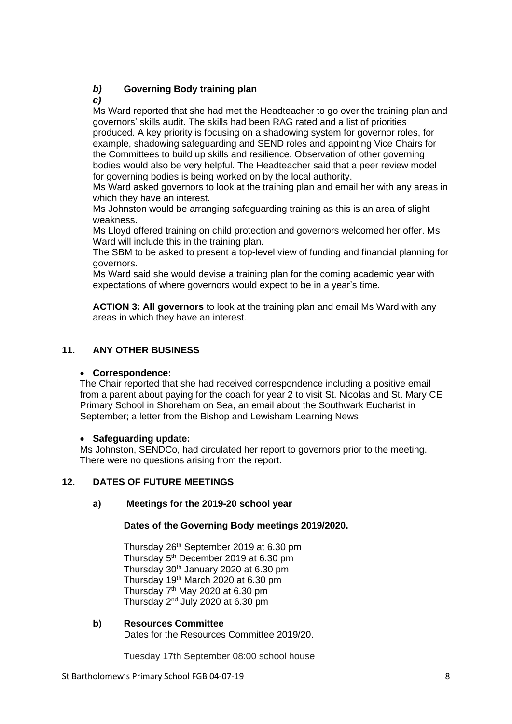# *b)* **Governing Body training plan**

*c)*

Ms Ward reported that she had met the Headteacher to go over the training plan and governors' skills audit. The skills had been RAG rated and a list of priorities produced. A key priority is focusing on a shadowing system for governor roles, for example, shadowing safeguarding and SEND roles and appointing Vice Chairs for the Committees to build up skills and resilience. Observation of other governing bodies would also be very helpful. The Headteacher said that a peer review model for governing bodies is being worked on by the local authority.

Ms Ward asked governors to look at the training plan and email her with any areas in which they have an interest.

Ms Johnston would be arranging safeguarding training as this is an area of slight weakness.

Ms Lloyd offered training on child protection and governors welcomed her offer. Ms Ward will include this in the training plan.

The SBM to be asked to present a top-level view of funding and financial planning for governors.

Ms Ward said she would devise a training plan for the coming academic year with expectations of where governors would expect to be in a year's time.

**ACTION 3: All governors** to look at the training plan and email Ms Ward with any areas in which they have an interest.

# **11. ANY OTHER BUSINESS**

# • **Correspondence:**

The Chair reported that she had received correspondence including a positive email from a parent about paying for the coach for year 2 to visit St. Nicolas and St. Mary CE Primary School in Shoreham on Sea, an email about the Southwark Eucharist in September; a letter from the Bishop and Lewisham Learning News.

#### • **Safeguarding update:**

Ms Johnston, SENDCo, had circulated her report to governors prior to the meeting. There were no questions arising from the report.

# **12. DATES OF FUTURE MEETINGS**

# **a) Meetings for the 2019-20 school year**

#### **Dates of the Governing Body meetings 2019/2020.**

Thursday 26<sup>th</sup> September 2019 at 6.30 pm Thursday 5<sup>th</sup> December 2019 at 6.30 pm Thursday 30th January 2020 at 6.30 pm Thursday 19th March 2020 at 6.30 pm Thursday  $7<sup>th</sup>$  May 2020 at 6.30 pm Thursday 2nd July 2020 at 6.30 pm

#### **b) Resources Committee**

Dates for the Resources Committee 2019/20.

Tuesday 17th September 08:00 school house